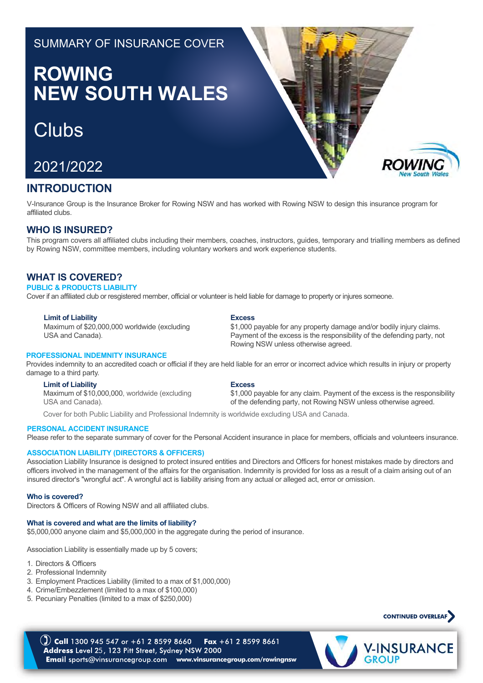# SUMMARY OF INSURANCE COVER

# **ROWING NEW SOUTH WALES**

# **Clubs**



## **INTRODUCTION**

V-Insurance Group is the Insurance Broker for Rowing NSW and has worked with Rowing NSW to design this insurance program for affiliated clubs.

## **WHO IS INSURED?**

This program covers all affiliated clubs including their members, coaches, instructors, guides, temporary and trialling members as defined by Rowing NSW, committee members, including voluntary workers and work experience students.

## **WHAT IS COVERED?**

#### **PUBLIC & PRODUCTS LIABILITY**

Cover if an affiliated club or resgistered member, official or volunteer is held liable for damage to property or injures someone.

#### **Limit of Liability**

Maximum of \$20,000,000 worldwide (excluding USA and Canada).

#### **PROFESSIONAL INDEMNITY INSURANCE**

Provides indemnity to an accredited coach or official if they are held liable for an error or incorrect advice which results in injury or property damage to a third party.

#### **Limit of Liability**

Maximum of \$10,000,000, worldwide (excluding USA and Canada).

## **Excess**

\$1,000 payable for any property damage and/or bodily injury claims. Payment of the excess is the responsibility of the defending party, not Rowing NSW unless otherwise agreed.

**Excess**

\$1,000 payable for any claim. Payment of the excess is the responsibility of the defending party, not Rowing NSW unless otherwise agreed.

Cover for both Public Liability and Professional Indemnity is worldwide excluding USA and Canada.

#### **PERSONAL ACCIDENT INSURANCE**

Please refer to the separate summary of cover for the Personal Accident insurance in place for members, officials and volunteers insurance.

#### **ASSOCIATION LIABILITY (DIRECTORS & OFFICERS)**

Association Liability Insurance is designed to protect insured entities and Directors and Officers for honest mistakes made by directors and officers involved in the management of the affairs for the organisation. Indemnity is provided for loss as a result of a claim arising out of an insured director's "wrongful act". A wrongful act is liability arising from any actual or alleged act, error or omission.

#### **Who is covered?**

Directors & Officers of Rowing NSW and all affiliated clubs.

#### **What is covered and what are the limits of liability?**

\$5,000,000 anyone claim and \$5,000,000 in the aggregate during the period of insurance.

Association Liability is essentially made up by 5 covers;

- 1. Directors & Officers
- 2. Professional Indemnity
- 3. Employment Practices Liability (limited to a max of \$1,000,000)
- 4. Crime/Embezzlement (limited to a max of \$100,000)
- 5. Pecuniary Penalties (limited to a max of \$250,000)